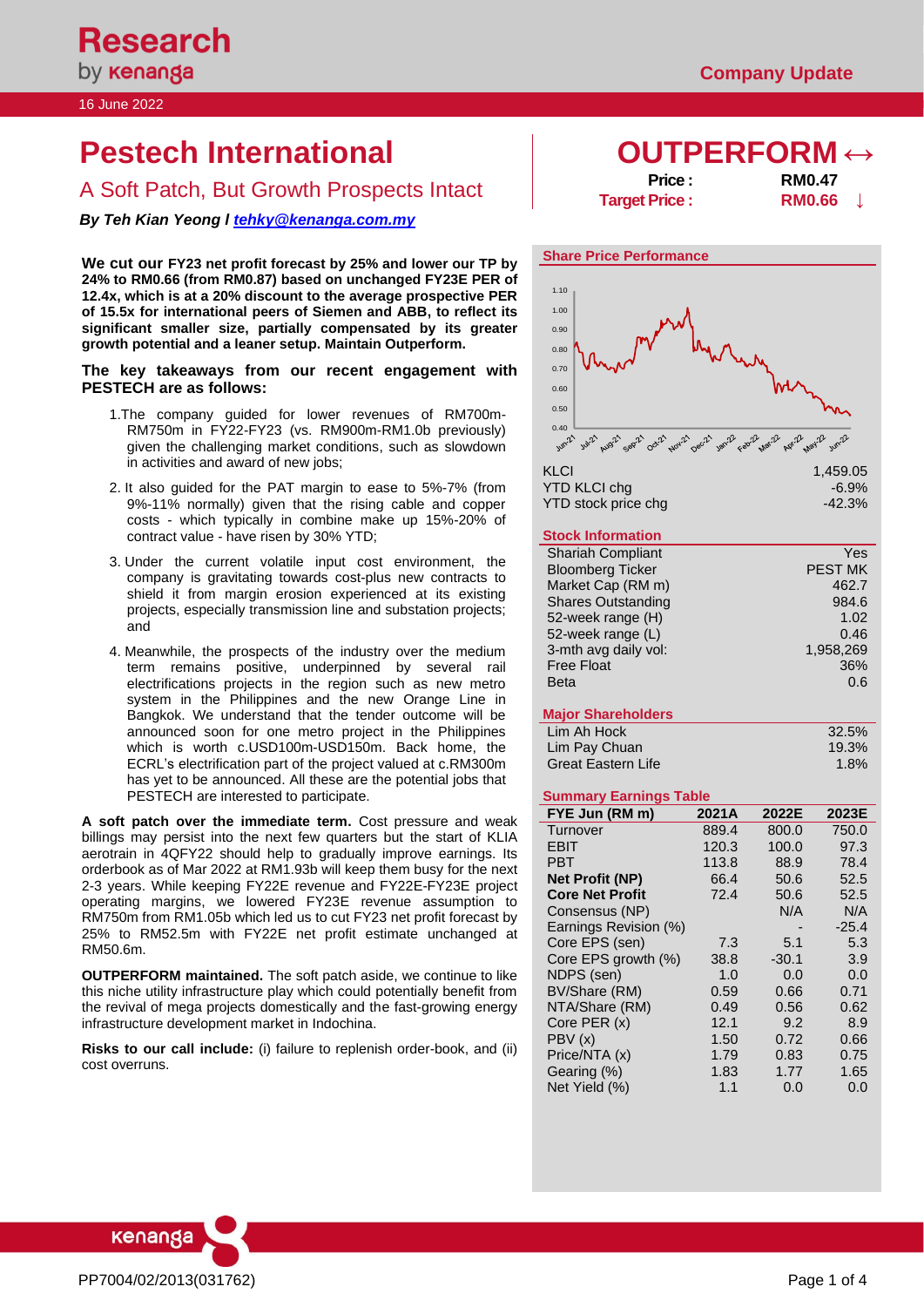#### 16 June 2022

# **Pestech International OUTPERFORM ↔**

A Soft Patch, But Growth Prospects Intact

*By Teh Kian Yeong l [tehky@kenanga.com.my](mailto:tehky@kenanga.com.my)*

**We cut our FY23 net profit forecast by 25% and lower our TP by 24% to RM0.66 (from RM0.87) based on unchanged FY23E PER of 12.4x, which is at a 20% discount to the average prospective PER of 15.5x for international peers of Siemen and ABB, to reflect its significant smaller size, partially compensated by its greater growth potential and a leaner setup. Maintain Outperform.**

#### **The key takeaways from our recent engagement with PESTECH are as follows:**

- 1.The company guided for lower revenues of RM700m-RM750m in FY22-FY23 (vs. RM900m-RM1.0b previously) given the challenging market conditions, such as slowdown in activities and award of new jobs;
- 2. It also guided for the PAT margin to ease to 5%-7% (from 9%-11% normally) given that the rising cable and copper costs - which typically in combine make up 15%-20% of contract value - have risen by 30% YTD;
- 3. Under the current volatile input cost environment, the company is gravitating towards cost-plus new contracts to shield it from margin erosion experienced at its existing projects, especially transmission line and substation projects; and
- 4. Meanwhile, the prospects of the industry over the medium term remains positive, underpinned by several rail electrifications projects in the region such as new metro system in the Philippines and the new Orange Line in Bangkok. We understand that the tender outcome will be announced soon for one metro project in the Philippines which is worth c.USD100m-USD150m. Back home, the ECRL's electrification part of the project valued at c.RM300m has yet to be announced. All these are the potential jobs that PESTECH are interested to participate.

**A soft patch over the immediate term.** Cost pressure and weak billings may persist into the next few quarters but the start of KLIA aerotrain in 4QFY22 should help to gradually improve earnings. Its orderbook as of Mar 2022 at RM1.93b will keep them busy for the next 2-3 years. While keeping FY22E revenue and FY22E-FY23E project operating margins, we lowered FY23E revenue assumption to RM750m from RM1.05b which led us to cut FY23 net profit forecast by 25% to RM52.5m with FY22E net profit estimate unchanged at RM50.6m.

**OUTPERFORM maintained.** The soft patch aside, we continue to like this niche utility infrastructure play which could potentially benefit from the revival of mega projects domestically and the fast-growing energy infrastructure development market in Indochina.

**Risks to our call include:** (i) failure to replenish order-book, and (ii) cost overruns.

| <b>Price:</b>        | <b>RM0.47</b> |  |
|----------------------|---------------|--|
| <b>Target Price:</b> | <b>RM0.66</b> |  |

# **Share Price Performance** 1.00 1.10



YTD KLCI chg YTD stock price chg -42.3%

### **Stock Information**

| <b>Shariah Compliant</b>  | Yes            |
|---------------------------|----------------|
| <b>Bloomberg Ticker</b>   | <b>PEST MK</b> |
| Market Cap (RM m)         | 462.7          |
| <b>Shares Outstanding</b> | 984.6          |
| 52-week range (H)         | 1.02           |
| 52-week range (L)         | 0.46           |
| 3-mth avg daily vol:      | 1,958,269      |
| <b>Free Float</b>         | 36%            |
| <b>Beta</b>               | 0.6            |
|                           |                |

### **Major Shareholders**

| Lim Ah Hock        | 32.5% |
|--------------------|-------|
| Lim Pay Chuan      | 19.3% |
| Great Eastern Life | 1.8%  |

### **Summary Earnings Table**

| FYE Jun (RM m)         | 2021A | 2022E   | 2023E   |
|------------------------|-------|---------|---------|
| Turnover               | 889.4 | 800.0   | 750.0   |
| EBIT                   | 120.3 | 100.0   | 97.3    |
| PBT                    | 113.8 | 88.9    | 78.4    |
| <b>Net Profit (NP)</b> | 66.4  | 50.6    | 52.5    |
| <b>Core Net Profit</b> | 72.4  | 50.6    | 52.5    |
| Consensus (NP)         |       | N/A     | N/A     |
| Earnings Revision (%)  |       |         | $-25.4$ |
| Core EPS (sen)         | 7.3   | 5.1     | 5.3     |
| Core EPS growth (%)    | 38.8  | $-30.1$ | 3.9     |
| NDPS (sen)             | 1.0   | 0.0     | 0.0     |
| BV/Share (RM)          | 0.59  | 0.66    | 0.71    |
| NTA/Share (RM)         | 0.49  | 0.56    | 0.62    |
| Core PER (x)           | 12.1  | 9.2     | 8.9     |
| PBV(x)                 | 1.50  | 0.72    | 0.66    |
| Price/NTA (x)          | 1.79  | 0.83    | 0.75    |
| Gearing (%)            | 1.83  | 1.77    | 1.65    |
| Net Yield (%)          | 1.1   | 0.0     | 0.0     |

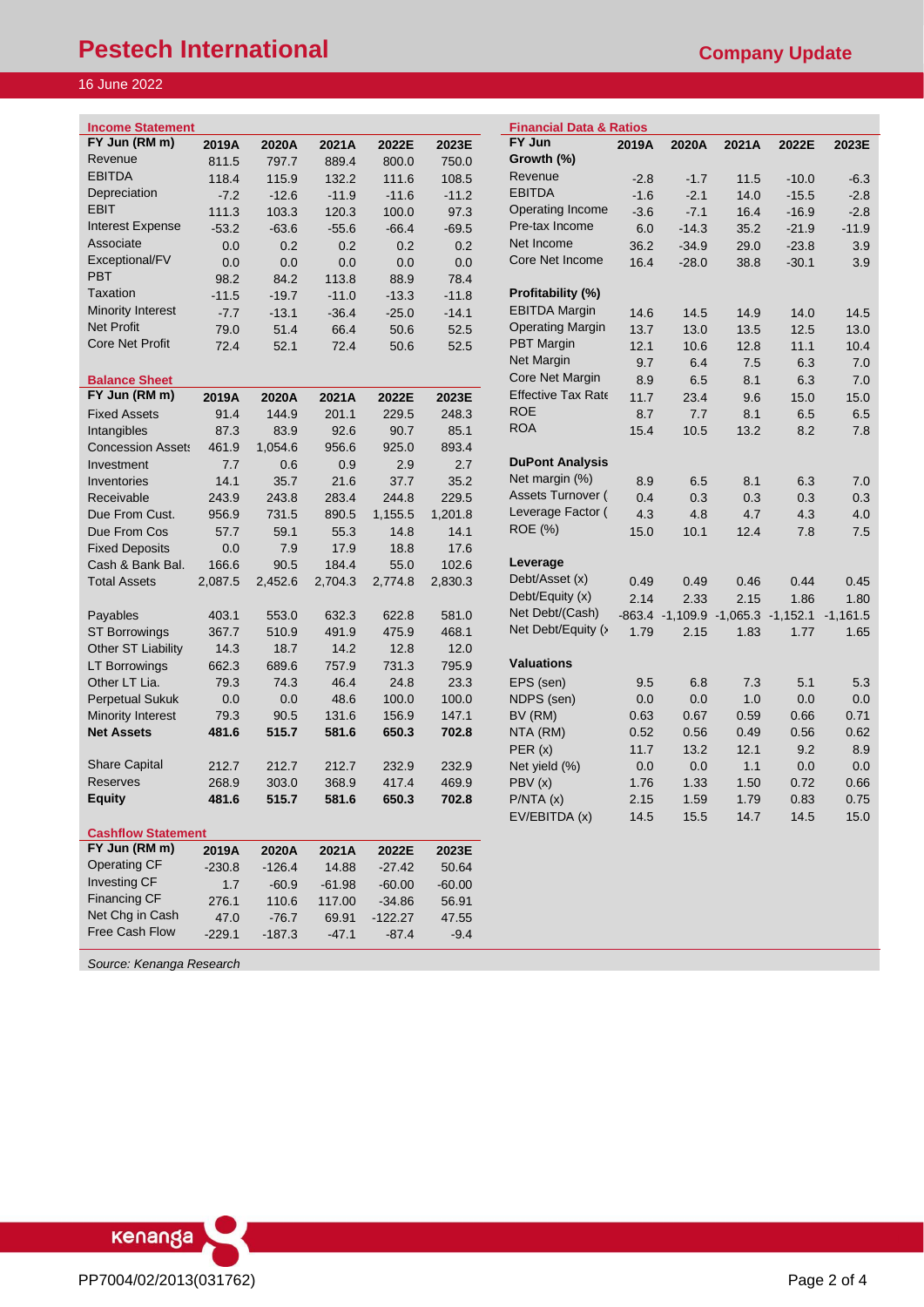# **Pestech International** *Company Update* **Company Update**

## 16 June 2022

I

| <b>Company Upd</b> |  |
|--------------------|--|
|--------------------|--|

| <b>Income Statement</b>   |               |                  |                 |                       |          | <b>Financial Data &amp; Ratios</b> |        |                                            |       |         |                 |
|---------------------------|---------------|------------------|-----------------|-----------------------|----------|------------------------------------|--------|--------------------------------------------|-------|---------|-----------------|
| FY Jun (RM m)             | 2019A         | 2020A            | 2021A           | 2022E                 | 2023E    | FY Jun                             | 2019A  | 2020A                                      | 2021A | 2022E   | 2023E           |
| Revenue                   | 811.5         | 797.7            | 889.4           | 800.0                 | 750.0    | Growth (%)                         |        |                                            |       |         |                 |
| <b>EBITDA</b>             | 118.4         | 115.9            | 132.2           | 111.6                 | 108.5    | Revenue                            | $-2.8$ | $-1.7$                                     | 11.5  | $-10.0$ | $-6.3$          |
| Depreciation              | $-7.2$        | $-12.6$          | $-11.9$         | $-11.6$               | $-11.2$  | <b>EBITDA</b>                      | $-1.6$ | $-2.1$                                     | 14.0  | $-15.5$ | $-2.8$          |
| <b>EBIT</b>               | 111.3         | 103.3            | 120.3           | 100.0                 | 97.3     | Operating Income                   | $-3.6$ | $-7.1$                                     | 16.4  | $-16.9$ | $-2.8$          |
| <b>Interest Expense</b>   | $-53.2$       | $-63.6$          | $-55.6$         | $-66.4$               | $-69.5$  | Pre-tax Income                     | 6.0    | $-14.3$                                    | 35.2  | $-21.9$ | $-11.9$         |
| Associate                 | 0.0           | 0.2              | 0.2             | 0.2                   | 0.2      | Net Income                         | 36.2   | $-34.9$                                    | 29.0  | $-23.8$ | 3.9             |
| Exceptional/FV            | 0.0           | 0.0              | 0.0             | 0.0                   | 0.0      | Core Net Income                    | 16.4   | $-28.0$                                    | 38.8  | $-30.1$ | 3.9             |
| <b>PBT</b>                | 98.2          | 84.2             | 113.8           | 88.9                  | 78.4     |                                    |        |                                            |       |         |                 |
| <b>Taxation</b>           | $-11.5$       | $-19.7$          | $-11.0$         | $-13.3$               | $-11.8$  | Profitability (%)                  |        |                                            |       |         |                 |
| Minority Interest         | $-7.7$        | $-13.1$          | $-36.4$         | $-25.0$               | $-14.1$  | <b>EBITDA Margin</b>               | 14.6   | 14.5                                       | 14.9  | 14.0    | 14.5            |
| <b>Net Profit</b>         | 79.0          | 51.4             | 66.4            | 50.6                  | 52.5     | <b>Operating Margin</b>            | 13.7   | 13.0                                       | 13.5  | 12.5    | 13.0            |
| <b>Core Net Profit</b>    | 72.4          | 52.1             | 72.4            | 50.6                  | 52.5     | <b>PBT</b> Margin                  | 12.1   | 10.6                                       | 12.8  | 11.1    | 10.4            |
|                           |               |                  |                 |                       |          | Net Margin                         | 9.7    | 6.4                                        | 7.5   | 6.3     | 7. <sub>C</sub> |
| <b>Balance Sheet</b>      |               |                  |                 |                       |          | Core Net Margin                    | 8.9    | 6.5                                        | 8.1   | 6.3     | 7. <sub>C</sub> |
| FY Jun (RM m)             | 2019A         | 2020A            | 2021A           | 2022E                 | 2023E    | <b>Effective Tax Rate</b>          | 11.7   | 23.4                                       | 9.6   | 15.0    | 15 <sub>c</sub> |
| <b>Fixed Assets</b>       | 91.4          | 144.9            | 201.1           | 229.5                 | 248.3    | <b>ROE</b>                         | 8.7    | 7.7                                        | 8.1   | 6.5     | 6.5             |
| Intangibles               | 87.3          | 83.9             | 92.6            | 90.7                  | 85.1     | <b>ROA</b>                         | 15.4   | 10.5                                       | 13.2  | 8.2     | 7.8             |
| <b>Concession Assets</b>  | 461.9         | 1,054.6          | 956.6           | 925.0                 | 893.4    |                                    |        |                                            |       |         |                 |
| Investment                | 7.7           | 0.6              | 0.9             | 2.9                   | 2.7      | <b>DuPont Analysis</b>             |        |                                            |       |         |                 |
| Inventories               | 14.1          | 35.7             | 21.6            | 37.7                  | 35.2     | Net margin (%)                     | 8.9    | 6.5                                        | 8.1   | 6.3     | 7. <sub>C</sub> |
| Receivable                | 243.9         | 243.8            | 283.4           | 244.8                 | 229.5    | Assets Turnover (                  | 0.4    | 0.3                                        | 0.3   | 0.3     | 0.3             |
| Due From Cust.            | 956.9         | 731.5            | 890.5           | 1,155.5               | 1,201.8  | Leverage Factor (                  | 4.3    | 4.8                                        | 4.7   | 4.3     | 4.0             |
| Due From Cos              | 57.7          | 59.1             | 55.3            | 14.8                  | 14.1     | ROE (%)                            | 15.0   | 10.1                                       | 12.4  | 7.8     | 7.5             |
| <b>Fixed Deposits</b>     | 0.0           | 7.9              | 17.9            | 18.8                  | 17.6     |                                    |        |                                            |       |         |                 |
| Cash & Bank Bal.          | 166.6         | 90.5             | 184.4           | 55.0                  | 102.6    | Leverage                           |        |                                            |       |         |                 |
| <b>Total Assets</b>       | 2,087.5       | 2,452.6          | 2,704.3         | 2,774.8               | 2,830.3  | Debt/Asset (x)                     | 0.49   | 0.49                                       | 0.46  | 0.44    | 0.45            |
|                           |               |                  |                 |                       |          | Debt/Equity (x)                    | 2.14   | 2.33                                       | 2.15  | 1.86    | 1.8C            |
| Payables                  | 403.1         | 553.0            | 632.3           | 622.8                 | 581.0    | Net Debt/(Cash)                    |        | -863.4 -1,109.9 -1,065.3 -1,152.1 -1,161.5 |       |         |                 |
| <b>ST Borrowings</b>      | 367.7         | 510.9            | 491.9           | 475.9                 | 468.1    | Net Debt/Equity (>                 | 1.79   | 2.15                                       | 1.83  | 1.77    | 1.65            |
| Other ST Liability        | 14.3          | 18.7             | 14.2            | 12.8                  | 12.0     |                                    |        |                                            |       |         |                 |
| LT Borrowings             | 662.3         | 689.6            | 757.9           | 731.3                 | 795.9    | <b>Valuations</b>                  |        |                                            |       |         |                 |
| Other LT Lia.             | 79.3          | 74.3             | 46.4            | 24.8                  | 23.3     | EPS (sen)                          | 9.5    | 6.8                                        | 7.3   | 5.1     | 5.3             |
| <b>Perpetual Sukuk</b>    | 0.0           | 0.0              | 48.6            | 100.0                 | 100.0    | NDPS (sen)                         | 0.0    | 0.0                                        | 1.0   | 0.0     | 0.0             |
| <b>Minority Interest</b>  | 79.3          | 90.5             | 131.6           | 156.9                 | 147.1    | BV (RM)                            | 0.63   | 0.67                                       | 0.59  | 0.66    | 0.71            |
| <b>Net Assets</b>         | 481.6         | 515.7            | 581.6           | 650.3                 | 702.8    | NTA (RM)                           | 0.52   | 0.56                                       | 0.49  | 0.56    | 0.62            |
|                           |               |                  |                 |                       |          | PER(x)                             | 11.7   | 13.2                                       | 12.1  | 9.2     | 8.9             |
| <b>Share Capital</b>      | 212.7         | 212.7            | 212.7           | 232.9                 | 232.9    | Net yield (%)                      | 0.0    | 0.0                                        | 1.1   | 0.0     | 0.0             |
| <b>Reserves</b>           | 268.9         | 303.0            | 368.9           | 417.4                 | 469.9    | PBV(x)                             | 1.76   | 1.33                                       | 1.50  | 0.72    | 0.66            |
| <b>Equity</b>             | 481.6         | 515.7            | 581.6           | 650.3                 | 702.8    | P/NTA(x)                           | 2.15   | 1.59                                       | 1.79  | 0.83    | 0.75            |
|                           |               |                  |                 |                       |          | EV/EBITDA (x)                      | 14.5   | 15.5                                       | 14.7  | 14.5    | 15.0            |
| <b>Cashflow Statement</b> |               |                  |                 |                       |          |                                    |        |                                            |       |         |                 |
| FY Jun (RM m)             | 2019A         | 2020A            | 2021A           | 2022E                 | 2023E    |                                    |        |                                            |       |         |                 |
| <b>Operating CF</b>       | $-230.8$      | $-126.4$         | 14.88           | $-27.42$              | 50.64    |                                    |        |                                            |       |         |                 |
| Investing CF              | 1.7           | $-60.9$          | $-61.98$        | $-60.00$              | $-60.00$ |                                    |        |                                            |       |         |                 |
| <b>Financing CF</b>       |               |                  |                 |                       | 56.91    |                                    |        |                                            |       |         |                 |
| Net Chg in Cash           | 276.1<br>47.0 | 110.6<br>$-76.7$ | 117.00<br>69.91 | $-34.86$<br>$-122.27$ | 47.55    |                                    |        |                                            |       |         |                 |
| Free Cash Flow            | $-229.1$      | $-187.3$         | $-47.1$         | $-87.4$               | $-9.4$   |                                    |        |                                            |       |         |                 |
| Source: Kenanga Research  |               |                  |                 |                       |          |                                    |        |                                            |       |         |                 |
|                           |               |                  |                 |                       |          |                                    |        |                                            |       |         |                 |

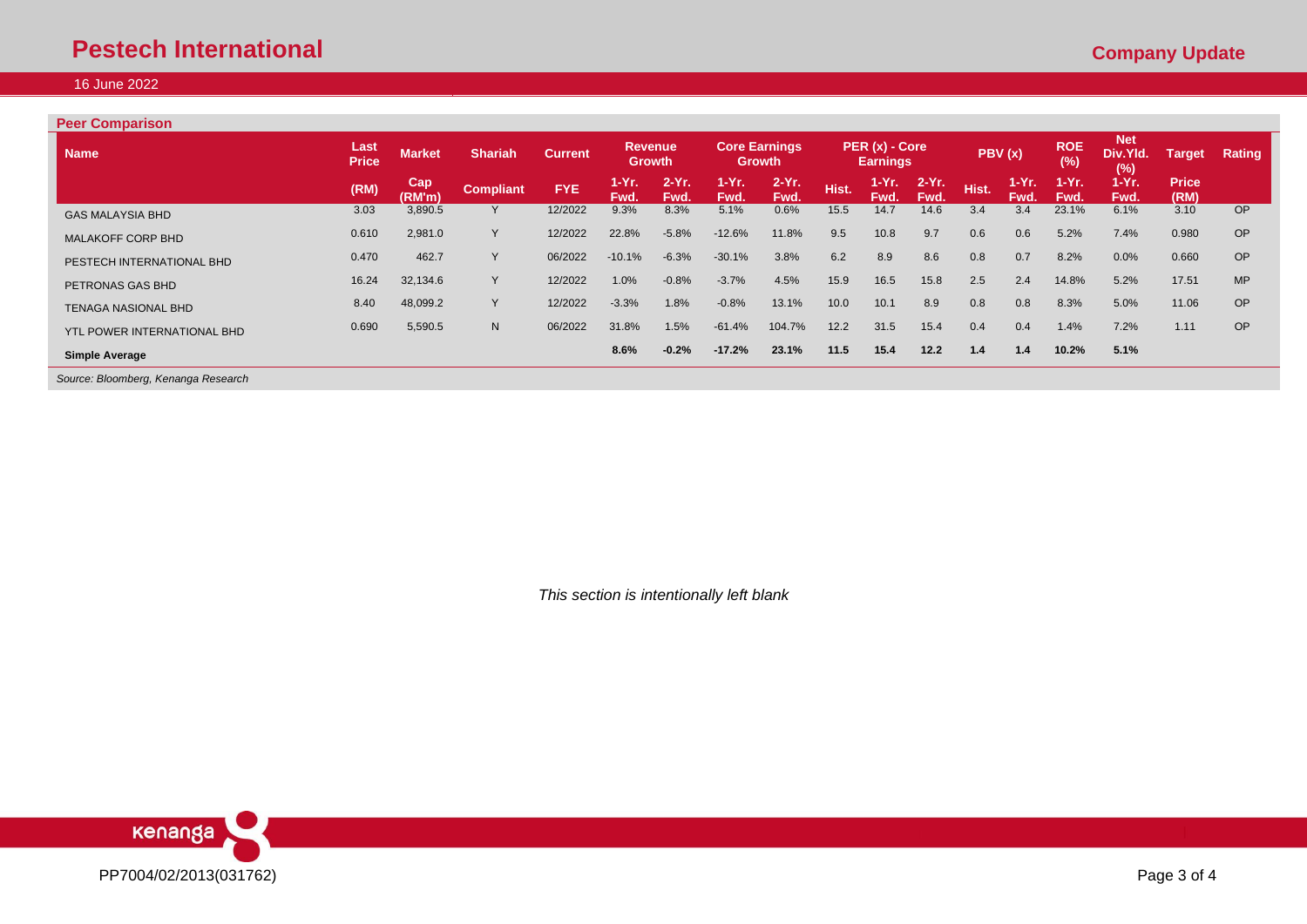# **Pestech International** *Company Update* **Company Update**

# 16 June 2022

### **Peer Comparison**

| <b>Name</b>                                                                                | Last<br><b>Price</b> | <b>Market</b> | <b>Shariah</b>   | <b>Current</b> | <b>Revenue</b><br><b>Growth</b> |                  |               | <b>Core Earnings</b><br><b>Growth</b> |       | PER (x) - Core<br><b>Earnings</b> |                  |       | PBV(x)          | <b>ROE</b><br>$(\%)$ | <b>Net</b><br>Div.Yld.<br>(%) | <b>Target</b>        | Rating    |
|--------------------------------------------------------------------------------------------|----------------------|---------------|------------------|----------------|---------------------------------|------------------|---------------|---------------------------------------|-------|-----------------------------------|------------------|-------|-----------------|----------------------|-------------------------------|----------------------|-----------|
|                                                                                            | (RM)                 | Cap<br>(RM'm) | <b>Compliant</b> | <b>FYE</b>     | $1-Yr.$<br>Fwd.                 | $2-Yr$ .<br>Fwd. | 1-Yr.<br>Fwd. | $2-Yr$ .<br>Fwd.                      | Hist. | $1-Yr.$<br>Fwd.                   | $2-Yr$ .<br>Fwd. | Hist. | $1-Yr.$<br>Fwd. | $1-Yr$ .<br>Fwd.     | 1-Yr.<br>Fwd.                 | <b>Price</b><br>(RM) |           |
| <b>GAS MALAYSIA BHD</b>                                                                    | 3.03                 | 3,890.5       |                  | 12/2022        | 9.3%                            | 8.3%             | 5.1%          | 0.6%                                  | 15.5  | 14.7                              | 14.6             | 3.4   | 3.4             | 23.1%                | 6.1%                          | 3.10                 | <b>OP</b> |
| <b>MALAKOFF CORP BHD</b>                                                                   | 0.610                | 2,981.0       | v                | 12/2022        | 22.8%                           | $-5.8%$          | $-12.6%$      | 11.8%                                 | 9.5   | 10.8                              | 9.7              | 0.6   | 0.6             | 5.2%                 | 7.4%                          | 0.980                | <b>OP</b> |
| PESTECH INTERNATIONAL BHD                                                                  | 0.470                | 462.7         |                  | 06/2022        | $-10.1%$                        | $-6.3%$          | $-30.1%$      | 3.8%                                  | 6.2   | 8.9                               | 8.6              | 0.8   | 0.7             | 8.2%                 | 0.0%                          | 0.660                | <b>OP</b> |
| PETRONAS GAS BHD                                                                           | 16.24                | 32,134.6      | Y.               | 12/2022        | 1.0%                            | $-0.8%$          | $-3.7%$       | 4.5%                                  | 15.9  | 16.5                              | 15.8             | 2.5   | 2.4             | 14.8%                | 5.2%                          | 17.51                | <b>MP</b> |
| <b>TENAGA NASIONAL BHD</b>                                                                 | 8.40                 | 48,099.2      | v                | 12/2022        | $-3.3%$                         | 1.8%             | $-0.8%$       | 13.1%                                 | 10.0  | 10.1                              | 8.9              | 0.8   | 0.8             | 8.3%                 | 5.0%                          | 11.06                | OP        |
| YTL POWER INTERNATIONAL BHD                                                                | 0.690                | 5,590.5       | N                | 06/2022        | 31.8%                           | 1.5%             | $-61.4%$      | 104.7%                                | 12.2  | 31.5                              | 15.4             | 0.4   | 0.4             | 1.4%                 | 7.2%                          | 1.11                 | OP        |
| <b>Simple Average</b><br>$\sim$<br>$\sim$ $\sim$ $\sim$ $\sim$<br>$\overline{\phantom{0}}$ |                      |               |                  |                | 8.6%                            | $-0.2%$          | $-17.2%$      | 23.1%                                 | 11.5  | 15.4                              | 12.2             | 1.4   | 1.4             | 10.2%                | 5.1%                          |                      |           |

*Source: Bloomberg, Kenanga Research*

*This section is intentionally left blank*